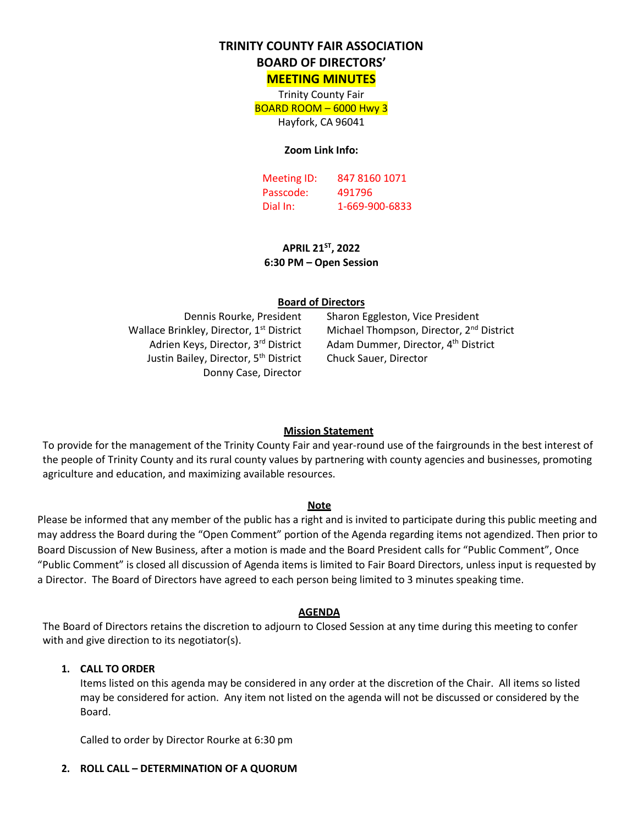# **TRINITY COUNTY FAIR ASSOCIATION**

# **BOARD OF DIRECTORS'**

**MEETING MINUTES**

Trinity County Fair BOARD ROOM – 6000 Hwy 3 Hayfork, CA 96041

#### **Zoom Link Info:**

Meeting ID: 847 8160 1071 Passcode: 491796 Dial In: 1-669-900-6833

**APRIL 21ST, 2022 6:30 PM – Open Session**

#### **Board of Directors**

Wallace Brinkley, Director, 1<sup>st</sup> District Adrien Keys, Director, 3rd District Justin Bailey, Director, 5<sup>th</sup> District Donny Case, Director

Dennis Rourke, President Sharon Eggleston, Vice President Michael Thompson, Director, 2<sup>nd</sup> District Adam Dummer, Director, 4<sup>th</sup> District Chuck Sauer, Director

#### **Mission Statement**

To provide for the management of the Trinity County Fair and year-round use of the fairgrounds in the best interest of the people of Trinity County and its rural county values by partnering with county agencies and businesses, promoting agriculture and education, and maximizing available resources.

#### **Note**

Please be informed that any member of the public has a right and is invited to participate during this public meeting and may address the Board during the "Open Comment" portion of the Agenda regarding items not agendized. Then prior to Board Discussion of New Business, after a motion is made and the Board President calls for "Public Comment", Once "Public Comment" is closed all discussion of Agenda items is limited to Fair Board Directors, unless input is requested by a Director. The Board of Directors have agreed to each person being limited to 3 minutes speaking time.

#### **AGENDA**

The Board of Directors retains the discretion to adjourn to Closed Session at any time during this meeting to confer with and give direction to its negotiator(s).

#### **1. CALL TO ORDER**

Items listed on this agenda may be considered in any order at the discretion of the Chair. All items so listed may be considered for action. Any item not listed on the agenda will not be discussed or considered by the Board.

Called to order by Director Rourke at 6:30 pm

#### **2. ROLL CALL – DETERMINATION OF A QUORUM**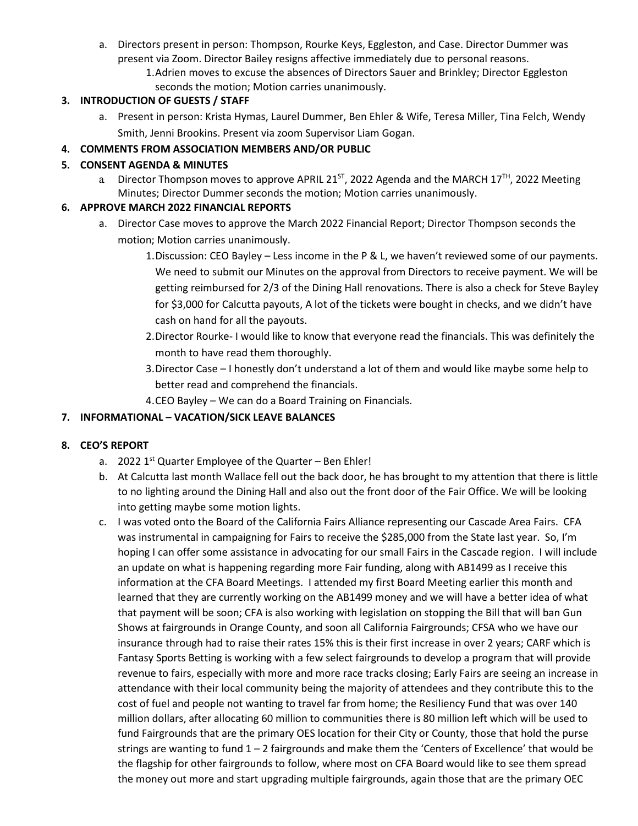- a. Directors present in person: Thompson, Rourke Keys, Eggleston, and Case. Director Dummer was present via Zoom. Director Bailey resigns affective immediately due to personal reasons.
	- 1.Adrien moves to excuse the absences of Directors Sauer and Brinkley; Director Eggleston seconds the motion; Motion carries unanimously.

### **3. INTRODUCTION OF GUESTS / STAFF**

a. Present in person: Krista Hymas, Laurel Dummer, Ben Ehler & Wife, Teresa Miller, Tina Felch, Wendy Smith, Jenni Brookins. Present via zoom Supervisor Liam Gogan.

# **4. COMMENTS FROM ASSOCIATION MEMBERS AND/OR PUBLIC**

## **5. CONSENT AGENDA & MINUTES**

a Director Thompson moves to approve APRIL 21 $^{ST}$ , 2022 Agenda and the MARCH 17<sup>TH</sup>, 2022 Meeting Minutes; Director Dummer seconds the motion; Motion carries unanimously.

# **6. APPROVE MARCH 2022 FINANCIAL REPORTS**

- a. Director Case moves to approve the March 2022 Financial Report; Director Thompson seconds the motion; Motion carries unanimously.
	- 1.Discussion: CEO Bayley Less income in the P & L, we haven't reviewed some of our payments. We need to submit our Minutes on the approval from Directors to receive payment. We will be getting reimbursed for 2/3 of the Dining Hall renovations. There is also a check for Steve Bayley for \$3,000 for Calcutta payouts, A lot of the tickets were bought in checks, and we didn't have cash on hand for all the payouts.
	- 2.Director Rourke- I would like to know that everyone read the financials. This was definitely the month to have read them thoroughly.
	- 3.Director Case I honestly don't understand a lot of them and would like maybe some help to better read and comprehend the financials.
	- 4.CEO Bayley We can do a Board Training on Financials.

# **7. INFORMATIONAL – VACATION/SICK LEAVE BALANCES**

# **8. CEO'S REPORT**

- a. 2022  $1<sup>st</sup>$  Quarter Employee of the Quarter Ben Ehler!
- b. At Calcutta last month Wallace fell out the back door, he has brought to my attention that there is little to no lighting around the Dining Hall and also out the front door of the Fair Office. We will be looking into getting maybe some motion lights.
- c. I was voted onto the Board of the California Fairs Alliance representing our Cascade Area Fairs. CFA was instrumental in campaigning for Fairs to receive the \$285,000 from the State last year. So, I'm hoping I can offer some assistance in advocating for our small Fairs in the Cascade region. I will include an update on what is happening regarding more Fair funding, along with AB1499 as I receive this information at the CFA Board Meetings. I attended my first Board Meeting earlier this month and learned that they are currently working on the AB1499 money and we will have a better idea of what that payment will be soon; CFA is also working with legislation on stopping the Bill that will ban Gun Shows at fairgrounds in Orange County, and soon all California Fairgrounds; CFSA who we have our insurance through had to raise their rates 15% this is their first increase in over 2 years; CARF which is Fantasy Sports Betting is working with a few select fairgrounds to develop a program that will provide revenue to fairs, especially with more and more race tracks closing; Early Fairs are seeing an increase in attendance with their local community being the majority of attendees and they contribute this to the cost of fuel and people not wanting to travel far from home; the Resiliency Fund that was over 140 million dollars, after allocating 60 million to communities there is 80 million left which will be used to fund Fairgrounds that are the primary OES location for their City or County, those that hold the purse strings are wanting to fund 1 – 2 fairgrounds and make them the 'Centers of Excellence' that would be the flagship for other fairgrounds to follow, where most on CFA Board would like to see them spread the money out more and start upgrading multiple fairgrounds, again those that are the primary OEC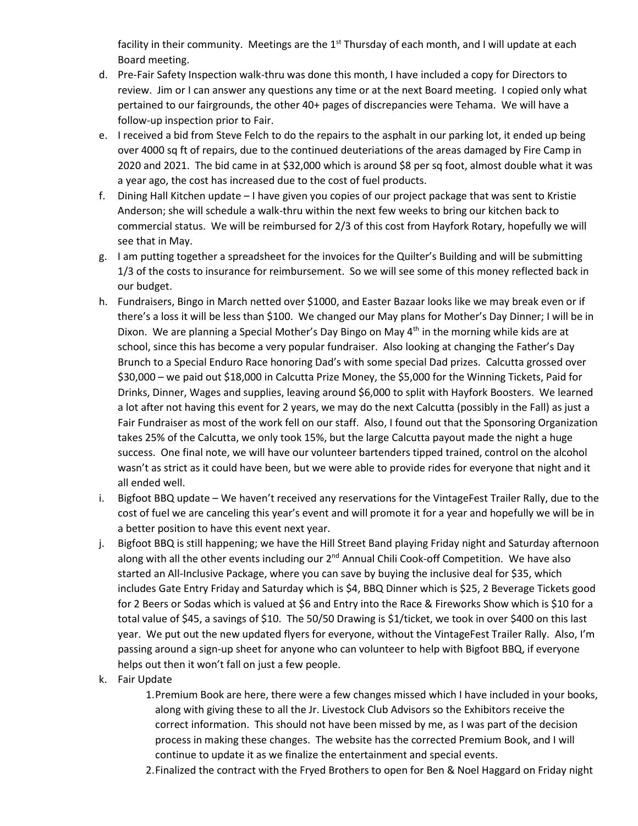facility in their community. Meetings are the  $1<sup>st</sup>$  Thursday of each month, and I will update at each Board meeting.

- d. Pre-Fair Safety Inspection walk-thru was done this month, I have included a copy for Directors to review. Jim or I can answer any questions any time or at the next Board meeting. I copied only what pertained to our fairgrounds, the other 40+ pages of discrepancies were Tehama. We will have a follow-up inspection prior to Fair.
- e. I received a bid from Steve Felch to do the repairs to the asphalt in our parking lot, it ended up being over 4000 sq ft of repairs, due to the continued deuteriations of the areas damaged by Fire Camp in 2020 and 2021. The bid came in at \$32,000 which is around \$8 per sq foot, almost double what it was a year ago, the cost has increased due to the cost of fuel products.
- f. Dining Hall Kitchen update I have given you copies of our project package that was sent to Kristie Anderson; she will schedule a walk-thru within the next few weeks to bring our kitchen back to commercial status. We will be reimbursed for 2/3 of this cost from Hayfork Rotary, hopefully we will see that in May.
- g. I am putting together a spreadsheet for the invoices for the Quilter's Building and will be submitting 1/3 of the costs to insurance for reimbursement. So we will see some of this money reflected back in our budget.
- h. Fundraisers, Bingo in March netted over \$1000, and Easter Bazaar looks like we may break even or if there's a loss it will be less than \$100. We changed our May plans for Mother's Day Dinner; I will be in Dixon. We are planning a Special Mother's Day Bingo on May 4<sup>th</sup> in the morning while kids are at school, since this has become a very popular fundraiser. Also looking at changing the Father's Day Brunch to a Special Enduro Race honoring Dad's with some special Dad prizes. Calcutta grossed over \$30,000 – we paid out \$18,000 in Calcutta Prize Money, the \$5,000 for the Winning Tickets, Paid for Drinks, Dinner, Wages and supplies, leaving around \$6,000 to split with Hayfork Boosters. We learned a lot after not having this event for 2 years, we may do the next Calcutta (possibly in the Fall) as just a Fair Fundraiser as most of the work fell on our staff. Also, I found out that the Sponsoring Organization takes 25% of the Calcutta, we only took 15%, but the large Calcutta payout made the night a huge success. One final note, we will have our volunteer bartenders tipped trained, control on the alcohol wasn't as strict as it could have been, but we were able to provide rides for everyone that night and it all ended well.
- i. Bigfoot BBQ update We haven't received any reservations for the VintageFest Trailer Rally, due to the cost of fuel we are canceling this year's event and will promote it for a year and hopefully we will be in a better position to have this event next year.
- j. Bigfoot BBQ is still happening; we have the Hill Street Band playing Friday night and Saturday afternoon along with all the other events including our 2<sup>nd</sup> Annual Chili Cook-off Competition. We have also started an All-Inclusive Package, where you can save by buying the inclusive deal for \$35, which includes Gate Entry Friday and Saturday which is \$4, BBQ Dinner which is \$25, 2 Beverage Tickets good for 2 Beers or Sodas which is valued at \$6 and Entry into the Race & Fireworks Show which is \$10 for a total value of \$45, a savings of \$10. The 50/50 Drawing is \$1/ticket, we took in over \$400 on this last year. We put out the new updated flyers for everyone, without the VintageFest Trailer Rally. Also, I'm passing around a sign-up sheet for anyone who can volunteer to help with Bigfoot BBQ, if everyone helps out then it won't fall on just a few people.
- k. Fair Update
	- 1.Premium Book are here, there were a few changes missed which I have included in your books, along with giving these to all the Jr. Livestock Club Advisors so the Exhibitors receive the correct information. This should not have been missed by me, as I was part of the decision process in making these changes. The website has the corrected Premium Book, and I will continue to update it as we finalize the entertainment and special events.
	- 2.Finalized the contract with the Fryed Brothers to open for Ben & Noel Haggard on Friday night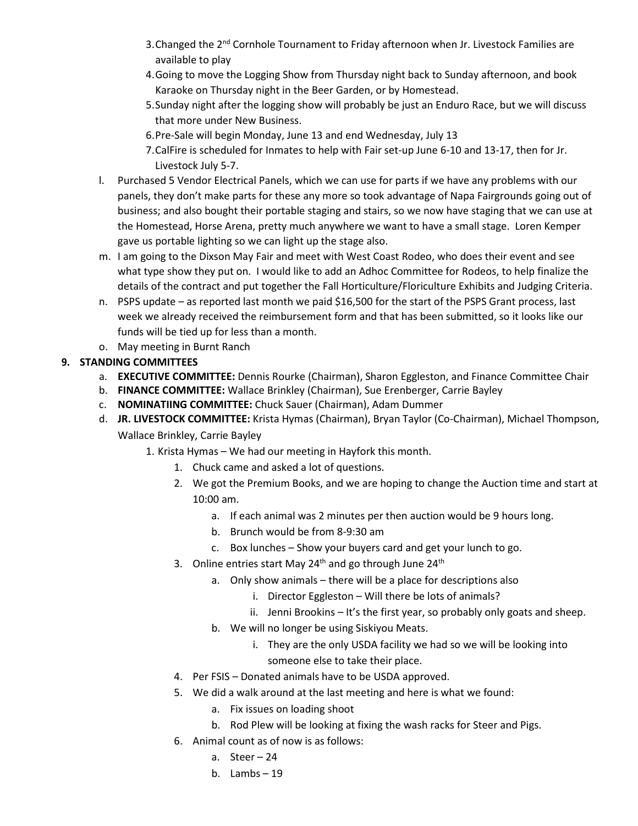- 3. Changed the 2<sup>nd</sup> Cornhole Tournament to Friday afternoon when Jr. Livestock Families are available to play
- 4.Going to move the Logging Show from Thursday night back to Sunday afternoon, and book Karaoke on Thursday night in the Beer Garden, or by Homestead.
- 5.Sunday night after the logging show will probably be just an Enduro Race, but we will discuss that more under New Business.
- 6.Pre-Sale will begin Monday, June 13 and end Wednesday, July 13
- 7.CalFire is scheduled for Inmates to help with Fair set-up June 6-10 and 13-17, then for Jr. Livestock July 5-7.
- l. Purchased 5 Vendor Electrical Panels, which we can use for parts if we have any problems with our panels, they don't make parts for these any more so took advantage of Napa Fairgrounds going out of business; and also bought their portable staging and stairs, so we now have staging that we can use at the Homestead, Horse Arena, pretty much anywhere we want to have a small stage. Loren Kemper gave us portable lighting so we can light up the stage also.
- m. I am going to the Dixson May Fair and meet with West Coast Rodeo, who does their event and see what type show they put on. I would like to add an Adhoc Committee for Rodeos, to help finalize the details of the contract and put together the Fall Horticulture/Floriculture Exhibits and Judging Criteria.
- n. PSPS update as reported last month we paid \$16,500 for the start of the PSPS Grant process, last week we already received the reimbursement form and that has been submitted, so it looks like our funds will be tied up for less than a month.
- o. May meeting in Burnt Ranch

# **9. STANDING COMMITTEES**

- a. **EXECUTIVE COMMITTEE:** Dennis Rourke (Chairman), Sharon Eggleston, and Finance Committee Chair
- b. **FINANCE COMMITTEE:** Wallace Brinkley (Chairman), Sue Erenberger, Carrie Bayley
- c. **NOMINATIING COMMITTEE:** Chuck Sauer (Chairman), Adam Dummer
- d. **JR. LIVESTOCK COMMITTEE:** Krista Hymas (Chairman), Bryan Taylor (Co-Chairman), Michael Thompson, Wallace Brinkley, Carrie Bayley
	- 1. Krista Hymas We had our meeting in Hayfork this month.
		- 1. Chuck came and asked a lot of questions.
		- 2. We got the Premium Books, and we are hoping to change the Auction time and start at 10:00 am.
			- a. If each animal was 2 minutes per then auction would be 9 hours long.
			- b. Brunch would be from 8-9:30 am
			- c. Box lunches Show your buyers card and get your lunch to go.
		- 3. Online entries start May  $24<sup>th</sup>$  and go through June  $24<sup>th</sup>$ 
			- a. Only show animals there will be a place for descriptions also
				- i. Director Eggleston Will there be lots of animals?
				- ii. Jenni Brookins It's the first year, so probably only goats and sheep.
			- b. We will no longer be using Siskiyou Meats.
				- i. They are the only USDA facility we had so we will be looking into someone else to take their place.
		- 4. Per FSIS Donated animals have to be USDA approved.
		- 5. We did a walk around at the last meeting and here is what we found:
			- a. Fix issues on loading shoot
			- b. Rod Plew will be looking at fixing the wash racks for Steer and Pigs.
		- 6. Animal count as of now is as follows:
			- a. Steer 24
			- b. Lambs 19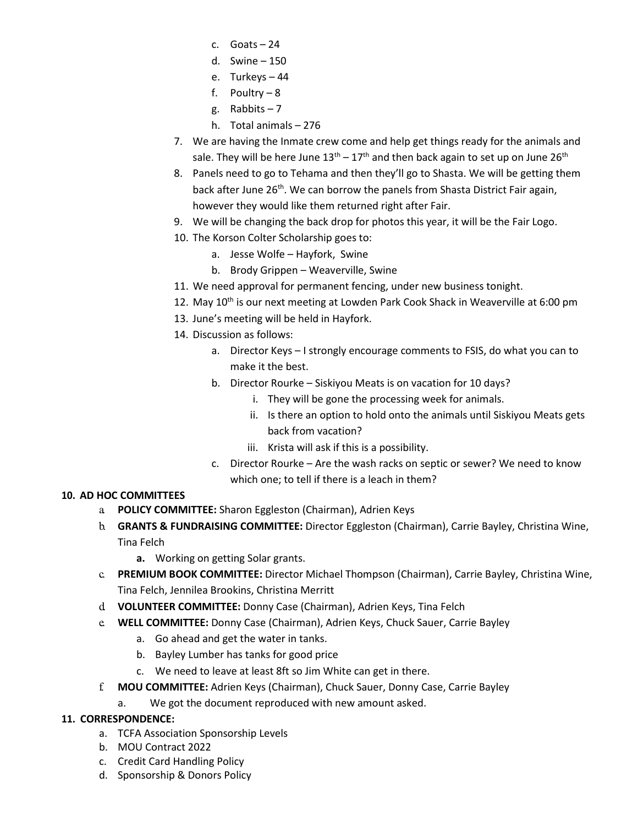- c. Goats 24
- d. Swine 150
- e. Turkeys 44
- f. Poultry 8
- g. Rabbits  $-7$
- h. Total animals 276
- 7. We are having the Inmate crew come and help get things ready for the animals and sale. They will be here June  $13<sup>th</sup> - 17<sup>th</sup>$  and then back again to set up on June  $26<sup>th</sup>$
- 8. Panels need to go to Tehama and then they'll go to Shasta. We will be getting them back after June 26<sup>th</sup>. We can borrow the panels from Shasta District Fair again, however they would like them returned right after Fair.
- 9. We will be changing the back drop for photos this year, it will be the Fair Logo.
- 10. The Korson Colter Scholarship goes to:
	- a. Jesse Wolfe Hayfork, Swine
	- b. Brody Grippen Weaverville, Swine
- 11. We need approval for permanent fencing, under new business tonight.
- 12. May  $10^{th}$  is our next meeting at Lowden Park Cook Shack in Weaverville at 6:00 pm
- 13. June's meeting will be held in Hayfork.
- 14. Discussion as follows:
	- a. Director Keys I strongly encourage comments to FSIS, do what you can to make it the best.
	- b. Director Rourke Siskiyou Meats is on vacation for 10 days?
		- i. They will be gone the processing week for animals.
		- ii. Is there an option to hold onto the animals until Siskiyou Meats gets back from vacation?
		- iii. Krista will ask if this is a possibility.
	- c. Director Rourke Are the wash racks on septic or sewer? We need to know which one; to tell if there is a leach in them?

# **10. AD HOC COMMITTEES**

- a. **POLICY COMMITTEE:** Sharon Eggleston (Chairman), Adrien Keys
- b. **GRANTS & FUNDRAISING COMMITTEE:** Director Eggleston (Chairman), Carrie Bayley, Christina Wine, Tina Felch
	- **a.** Working on getting Solar grants.
- c. **PREMIUM BOOK COMMITTEE:** Director Michael Thompson (Chairman), Carrie Bayley, Christina Wine, Tina Felch, Jennilea Brookins, Christina Merritt
- d. **VOLUNTEER COMMITTEE:** Donny Case (Chairman), Adrien Keys, Tina Felch
- e. **WELL COMMITTEE:** Donny Case (Chairman), Adrien Keys, Chuck Sauer, Carrie Bayley
	- a. Go ahead and get the water in tanks.
	- b. Bayley Lumber has tanks for good price
	- c. We need to leave at least 8ft so Jim White can get in there.
- f. **MOU COMMITTEE:** Adrien Keys (Chairman), Chuck Sauer, Donny Case, Carrie Bayley
	- a. We got the document reproduced with new amount asked.

### **11. CORRESPONDENCE:**

- a. TCFA Association Sponsorship Levels
- b. MOU Contract 2022
- c. Credit Card Handling Policy
- d. Sponsorship & Donors Policy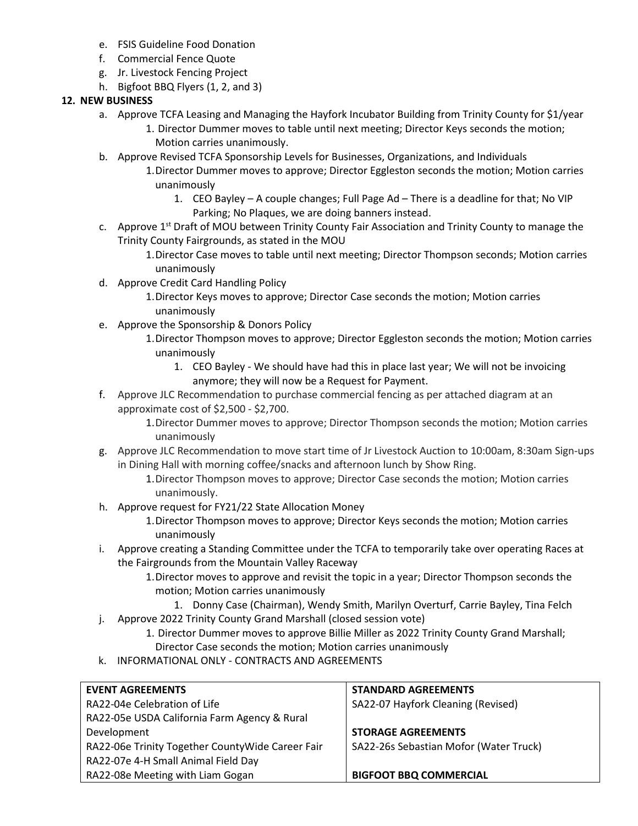- e. FSIS Guideline Food Donation
- f. Commercial Fence Quote
- g. Jr. Livestock Fencing Project
- h. Bigfoot BBQ Flyers (1, 2, and 3)

### **12. NEW BUSINESS**

- a. Approve TCFA Leasing and Managing the Hayfork Incubator Building from Trinity County for \$1/year 1. Director Dummer moves to table until next meeting; Director Keys seconds the motion; Motion carries unanimously.
- b. Approve Revised TCFA Sponsorship Levels for Businesses, Organizations, and Individuals
	- 1.Director Dummer moves to approve; Director Eggleston seconds the motion; Motion carries unanimously
		- 1. CEO Bayley A couple changes; Full Page Ad There is a deadline for that; No VIP Parking; No Plaques, we are doing banners instead.
- c. Approve 1<sup>st</sup> Draft of MOU between Trinity County Fair Association and Trinity County to manage the Trinity County Fairgrounds, as stated in the MOU
	- 1.Director Case moves to table until next meeting; Director Thompson seconds; Motion carries unanimously
- d. Approve Credit Card Handling Policy
	- 1.Director Keys moves to approve; Director Case seconds the motion; Motion carries unanimously
- e. Approve the Sponsorship & Donors Policy
	- 1.Director Thompson moves to approve; Director Eggleston seconds the motion; Motion carries unanimously
		- 1. CEO Bayley We should have had this in place last year; We will not be invoicing anymore; they will now be a Request for Payment.
- f. Approve JLC Recommendation to purchase commercial fencing as per attached diagram at an approximate cost of \$2,500 - \$2,700.
	- 1.Director Dummer moves to approve; Director Thompson seconds the motion; Motion carries unanimously
- g. Approve JLC Recommendation to move start time of Jr Livestock Auction to 10:00am, 8:30am Sign-ups in Dining Hall with morning coffee/snacks and afternoon lunch by Show Ring.
	- 1.Director Thompson moves to approve; Director Case seconds the motion; Motion carries unanimously.
- h. Approve request for FY21/22 State Allocation Money
	- 1.Director Thompson moves to approve; Director Keys seconds the motion; Motion carries unanimously
- i. Approve creating a Standing Committee under the TCFA to temporarily take over operating Races at the Fairgrounds from the Mountain Valley Raceway
	- 1.Director moves to approve and revisit the topic in a year; Director Thompson seconds the motion; Motion carries unanimously
		- 1. Donny Case (Chairman), Wendy Smith, Marilyn Overturf, Carrie Bayley, Tina Felch
- j. Approve 2022 Trinity County Grand Marshall (closed session vote)
	- 1. Director Dummer moves to approve Billie Miller as 2022 Trinity County Grand Marshall; Director Case seconds the motion; Motion carries unanimously
- k. INFORMATIONAL ONLY CONTRACTS AND AGREEMENTS

| <b>EVENT AGREEMENTS</b>                          | <b>STANDARD AGREEMENTS</b>             |
|--------------------------------------------------|----------------------------------------|
| RA22-04e Celebration of Life                     | SA22-07 Hayfork Cleaning (Revised)     |
| RA22-05e USDA California Farm Agency & Rural     |                                        |
| Development                                      | <b>STORAGE AGREEMENTS</b>              |
| RA22-06e Trinity Together CountyWide Career Fair | SA22-26s Sebastian Mofor (Water Truck) |
| RA22-07e 4-H Small Animal Field Day              |                                        |
| RA22-08e Meeting with Liam Gogan                 | <b>BIGFOOT BBQ COMMERCIAL</b>          |